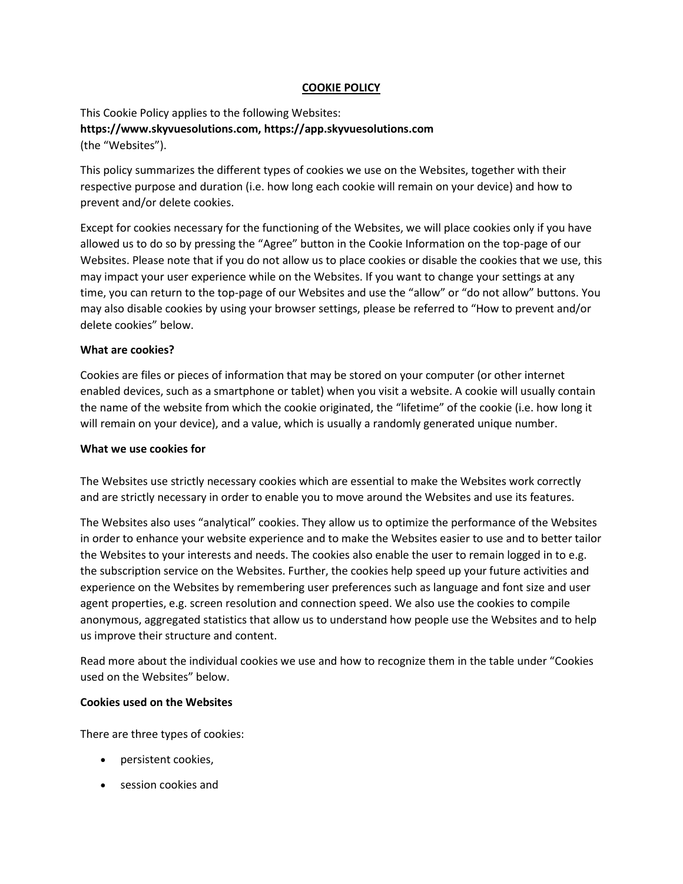## **COOKIE POLICY**

This Cookie Policy applies to the following Websites: **https://www.skyvuesolutions.com, https://app.skyvuesolutions.com** (the "Websites").

This policy summarizes the different types of cookies we use on the Websites, together with their respective purpose and duration (i.e. how long each cookie will remain on your device) and how to prevent and/or delete cookies.

Except for cookies necessary for the functioning of the Websites, we will place cookies only if you have allowed us to do so by pressing the "Agree" button in the Cookie Information on the top-page of our Websites. Please note that if you do not allow us to place cookies or disable the cookies that we use, this may impact your user experience while on the Websites. If you want to change your settings at any time, you can return to the top-page of our Websites and use the "allow" or "do not allow" buttons. You may also disable cookies by using your browser settings, please be referred to "How to prevent and/or delete cookies" below.

### **What are cookies?**

Cookies are files or pieces of information that may be stored on your computer (or other internet enabled devices, such as a smartphone or tablet) when you visit a website. A cookie will usually contain the name of the website from which the cookie originated, the "lifetime" of the cookie (i.e. how long it will remain on your device), and a value, which is usually a randomly generated unique number.

#### **What we use cookies for**

The Websites use strictly necessary cookies which are essential to make the Websites work correctly and are strictly necessary in order to enable you to move around the Websites and use its features.

The Websites also uses "analytical" cookies. They allow us to optimize the performance of the Websites in order to enhance your website experience and to make the Websites easier to use and to better tailor the Websites to your interests and needs. The cookies also enable the user to remain logged in to e.g. the subscription service on the Websites. Further, the cookies help speed up your future activities and experience on the Websites by remembering user preferences such as language and font size and user agent properties, e.g. screen resolution and connection speed. We also use the cookies to compile anonymous, aggregated statistics that allow us to understand how people use the Websites and to help us improve their structure and content.

Read more about the individual cookies we use and how to recognize them in the table under "Cookies used on the Websites" below.

### **Cookies used on the Websites**

There are three types of cookies:

- persistent cookies,
- session cookies and